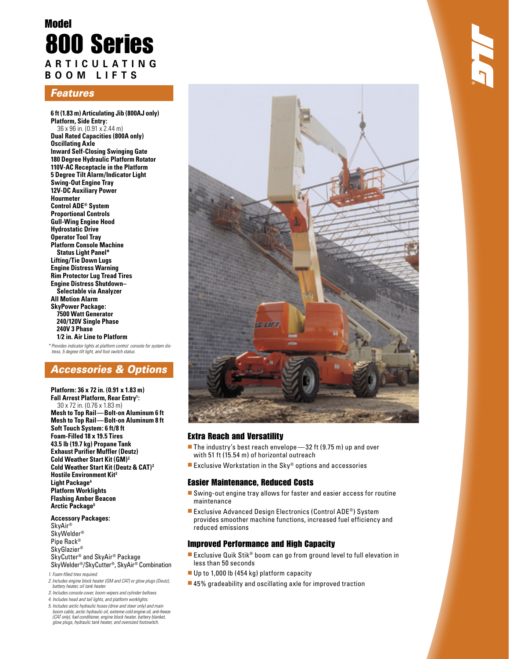# Model 800 Series **A R T I C U L A T I N G B O O M L I F T S**

## Features

**6 ft (1.83 m) Articulating Jib (800AJ only) Platform, Side Entry:**  36 x 96 in. (0.91 x 2.44 m) **Dual Rated Capacities (800A only) Oscillating Axle Inward Self-Closing Swinging Gate 180 Degree Hydraulic Platform Rotator 110V-AC Receptacle in the Platform 5 Degree Tilt Alarm/Indicator Light Swing-Out Engine Tray 12V-DC Auxiliary Power Hourmeter Control ADE® System Proportional Controls Gull-Wing Engine Hood Hydrostatic Drive Operator Tool Tray Platform Console Machine Status Light Panel\* Lifting/Tie Down Lugs Engine Distress Warning Rim Protector Lug Tread Tires Engine Distress Shutdown– Selectable via Analyzer All Motion Alarm SkyPower Package: 7500 Watt Generator 240/120V Single Phase 240V 3 Phase 1⁄2 in. Air Line to Platform**

\* Provides indicator lights at platform control console for system distress, 5 degree tilt light, and foot switch status.

## Accessories & Options

**Platform: 36 x 72 in. (0.91 x 1.83 m) Fall Arrest Platform, Rear Entry1 :** 30 x 72 in. (0.76 x 1.83 m) **Mesh to Top Rail — Bolt-on Aluminum 6 ft Mesh to Top Rail — Bolt-on Aluminum 8 ft Soft Touch System: 6 ft/8 ft Foam-Filled 18 x 19.5 Tires 43.5 lb (19.7 kg) Propane Tank Exhaust Purifier Muffler (Deutz) Cold Weather Start Kit (GM)2 Cold Weather Start Kit (Deutz & CAT)2 Hostile Environment Kit3 Light Package4 Platform Worklights Flashing Amber Beacon Arctic Package5**

#### **Accessory Packages:**

SkyAir® SkyWelder® Pipe Rack® SkyGlazier® SkyCutter® and SkyAir® Package SkyWelder®/SkyCutter®, SkyAir® Combination

- 1. Foam-filled tires required.
- 2. Includes engine block heater (GM and CAT) or glow plugs (Deutz), battery heater, oil tank heater.
- 3. Includes console cover, boom wipers and cylinder bellows.
- 4. Includes head and tail lights, and platform worklights.
- 5. Includes arctic hydraulic hoses (drive and steer only) and main boom cable, arctic hydraulic oil, extreme cold engine oil, anti-freeze (CAT only), fuel conditioner, engine block heater, battery blanket, glow plugs, hydraulic tank heater, and oversized footswitch.



### Extra Reach and Versatility

- The industry's best reach envelope  $-32$  ft (9.75 m) up and over with 51 ft (15.54 m) of horizontal outreach
- **Exclusive Workstation in the Sky® options and accessories**

#### Easier Maintenance, Reduced Costs

- Swing-out engine tray allows for faster and easier access for routine maintenance
- Exclusive Advanced Design Electronics (Control ADE®) System provides smoother machine functions, increased fuel efficiency and reduced emissions

#### Improved Performance and High Capacity

- Exclusive Quik Stik® boom can go from ground level to full elevation in less than 50 seconds
- Up to 1,000 lb (454 kg) platform capacity
- 45% gradeability and oscillating axle for improved traction